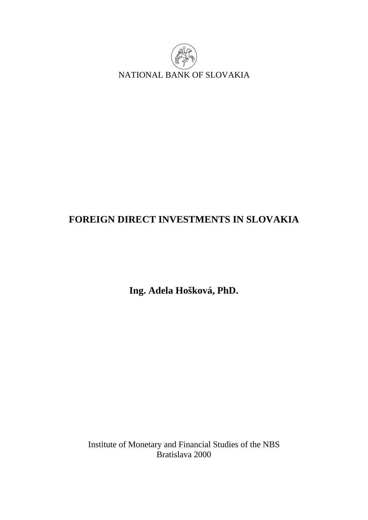

# **FOREIGN DIRECT INVESTMENTS IN SLOVAKIA**

**Ing. Adela Hošková, PhD.** 

Institute of Monetary and Financial Studies of the NBS Bratislava 2000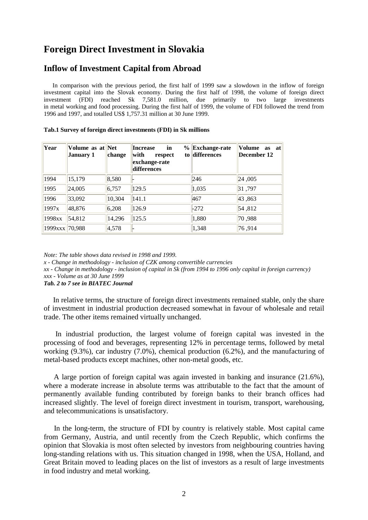## **Foreign Direct Investment in Slovakia**

### **Inflow of Investment Capital from Abroad**

In comparison with the previous period, the first half of 1999 saw a slowdown in the inflow of foreign investment capital into the Slovak economy. During the first half of 1998, the volume of foreign direct investment (FDI) reached Sk 7,581.0 million, due primarily to two large investments in metal working and food processing. During the first half of 1999, the volume of FDI followed the trend from 1996 and 1997, and totalled US\$ 1,757.31 million at 30 June 1999.

| Year           | Volume as at Net<br>January 1 | change | in<br><b>Increase</b><br>$\frac{9}{6}$<br>with<br>respect<br>exchange-rate<br>differences | <b>Exchange-rate</b><br>to differences | Volume<br>as at<br>December 12 |
|----------------|-------------------------------|--------|-------------------------------------------------------------------------------------------|----------------------------------------|--------------------------------|
| 1994           | 15,179                        | 8,580  |                                                                                           | 246                                    | 24,005                         |
| 1995           | 24,005                        | 6,757  | 129.5                                                                                     | 1,035                                  | 31,797                         |
| 1996           | 33,092                        | 10,304 | 141.1                                                                                     | 467                                    | 43,863                         |
| 1997x          | 48,876                        | 6,208  | 126.9                                                                                     | $-272$                                 | 54,812                         |
| 1998xx         | 54,812                        | 14,296 | 125.5                                                                                     | 1,880                                  | 70,988                         |
| 1999xxx 70,988 |                               | 4,578  |                                                                                           | 1,348                                  | 76,914                         |

#### **Tab.1 Survey of foreign direct investments (FDI) in Sk millions**

*Note: The table shows data revised in 1998 and 1999.* 

*x - Change in methodology - inclusion of CZK among convertible currencies* 

*xx - Change in methodology - inclusion of capital in Sk (from 1994 to 1996 only capital in foreign currency)* 

*xxx - Volume as at 30 June 1999* 

*Tab. 2 to 7 see in BIATEC Journal*

In relative terms, the structure of foreign direct investments remained stable, only the share of investment in industrial production decreased somewhat in favour of wholesale and retail trade. The other items remained virtually unchanged.

In industrial production, the largest volume of foreign capital was invested in the processing of food and beverages, representing 12% in percentage terms, followed by metal working (9.3%), car industry (7.0%), chemical production (6.2%), and the manufacturing of metal-based products except machines, other non-metal goods, etc.

A large portion of foreign capital was again invested in banking and insurance (21.6%), where a moderate increase in absolute terms was attributable to the fact that the amount of permanently available funding contributed by foreign banks to their branch offices had increased slightly. The level of foreign direct investment in tourism, transport, warehousing, and telecommunications is unsatisfactory.

In the long-term, the structure of FDI by country is relatively stable. Most capital came from Germany, Austria, and until recently from the Czech Republic, which confirms the opinion that Slovakia is most often selected by investors from neighbouring countries having long-standing relations with us. This situation changed in 1998, when the USA, Holland, and Great Britain moved to leading places on the list of investors as a result of large investments in food industry and metal working.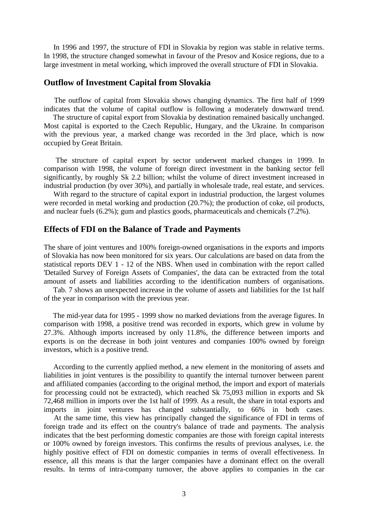In 1996 and 1997, the structure of FDI in Slovakia by region was stable in relative terms. In 1998, the structure changed somewhat in favour of the Presov and Kosice regions, due to a large investment in metal working, which improved the overall structure of FDI in Slovakia.

#### **Outflow of Investment Capital from Slovakia**

The outflow of capital from Slovakia shows changing dynamics. The first half of 1999 indicates that the volume of capital outflow is following a moderately downward trend.

The structure of capital export from Slovakia by destination remained basically unchanged. Most capital is exported to the Czech Republic, Hungary, and the Ukraine. In comparison with the previous year, a marked change was recorded in the 3rd place, which is now occupied by Great Britain.

The structure of capital export by sector underwent marked changes in 1999. In comparison with 1998, the volume of foreign direct investment in the banking sector fell significantly, by roughly Sk 2.2 billion; whilst the volume of direct investment increased in industrial production (by over 30%), and partially in wholesale trade, real estate, and services.

With regard to the structure of capital export in industrial production, the largest volumes were recorded in metal working and production (20.7%); the production of coke, oil products, and nuclear fuels (6.2%); gum and plastics goods, pharmaceuticals and chemicals (7.2%).

#### **Effects of FDI on the Balance of Trade and Payments**

The share of joint ventures and 100% foreign-owned organisations in the exports and imports of Slovakia has now been monitored for six years. Our calculations are based on data from the statistical reports DEV 1 - 12 of the NBS. When used in combination with the report called 'Detailed Survey of Foreign Assets of Companies', the data can be extracted from the total amount of assets and liabilities according to the identification numbers of organisations.

Tab. 7 shows an unexpected increase in the volume of assets and liabilities for the 1st half of the year in comparison with the previous year.

The mid-year data for 1995 - 1999 show no marked deviations from the average figures. In comparison with 1998, a positive trend was recorded in exports, which grew in volume by 27.3%. Although imports increased by only 11.8%, the difference between imports and exports is on the decrease in both joint ventures and companies 100% owned by foreign investors, which is a positive trend.

According to the currently applied method, a new element in the monitoring of assets and liabilities in joint ventures is the possibility to quantify the internal turnover between parent and affiliated companies (according to the original method, the import and export of materials for processing could not be extracted), which reached Sk 75,093 million in exports and Sk 72,468 million in imports over the 1st half of 1999. As a result, the share in total exports and imports in joint ventures has changed substantially, to 66% in both cases.

At the same time, this view has principally changed the significance of FDI in terms of foreign trade and its effect on the country's balance of trade and payments. The analysis indicates that the best performing domestic companies are those with foreign capital interests or 100% owned by foreign investors. This confirms the results of previous analyses, i.e. the highly positive effect of FDI on domestic companies in terms of overall effectiveness. In essence, all this means is that the larger companies have a dominant effect on the overall results. In terms of intra-company turnover, the above applies to companies in the car